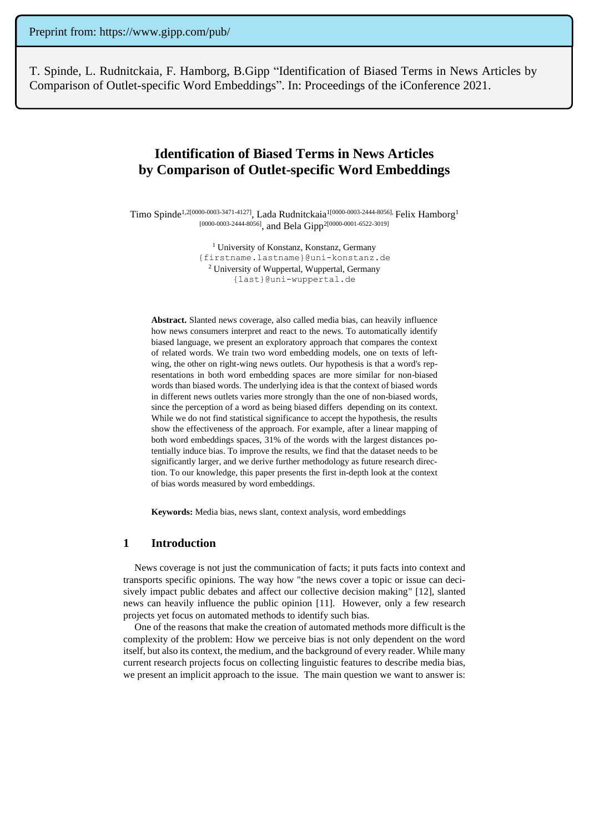T. Spinde, L. Rudnitckaia, F. Hamborg, B.Gipp "Identification of Biased Terms in News Articles by Comparison of Outlet-specific Word Embeddings". In: Proceedings of the iConference 2021.

# **Identification of Biased Terms in News Articles by Comparison of Outlet-specific Word Embeddings**

Timo Spinde<sup>1,2[0000-0003-3471-4127]</sup>, Lada Rudnitckaia<sup>1[0000-0003-2444-8056],</sup> Felix Hamborg<sup>1</sup> [0000-0003-2444-8056], and Bela Gipp<sup>2[0000-0001-6522-3019]</sup>

> <sup>1</sup> University of Konstanz, Konstanz, Germany {firstname.lastname}@uni-konstanz.de <sup>2</sup> University of Wuppertal, Wuppertal, Germany {last}@uni-wuppertal.de

**Abstract.** Slanted news coverage, also called media bias, can heavily influence how news consumers interpret and react to the news. To automatically identify biased language, we present an exploratory approach that compares the context of related words. We train two word embedding models, one on texts of leftwing, the other on right-wing news outlets. Our hypothesis is that a word's representations in both word embedding spaces are more similar for non-biased words than biased words. The underlying idea is that the context of biased words in different news outlets varies more strongly than the one of non-biased words, since the perception of a word as being biased differs depending on its context. While we do not find statistical significance to accept the hypothesis, the results show the effectiveness of the approach. For example, after a linear mapping of both word embeddings spaces, 31% of the words with the largest distances potentially induce bias. To improve the results, we find that the dataset needs to be significantly larger, and we derive further methodology as future research direction. To our knowledge, this paper presents the first in-depth look at the context of bias words measured by word embeddings.

**Keywords:** Media bias, news slant, context analysis, word embeddings

### **1 Introduction**

News coverage is not just the communication of facts; it puts facts into context and transports specific opinions. The way how "the news cover a topic or issue can decisively impact public debates and affect our collective decision making" [12], slanted news can heavily influence the public opinion [11]. However, only a few research projects yet focus on automated methods to identify such bias.

One of the reasons that make the creation of automated methods more difficult is the complexity of the problem: How we perceive bias is not only dependent on the word itself, but also its context, the medium, and the background of every reader. While many current research projects focus on collecting linguistic features to describe media bias, we present an implicit approach to the issue. The main question we want to answer is: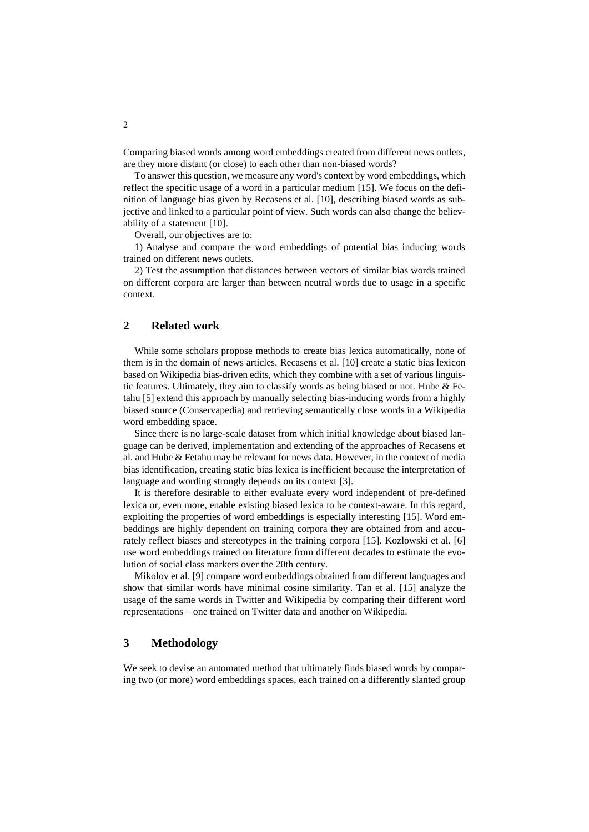Comparing biased words among word embeddings created from different news outlets, are they more distant (or close) to each other than non-biased words?

To answer this question, we measure any word's context by word embeddings, which reflect the specific usage of a word in a particular medium [15]. We focus on the definition of language bias given by Recasens et al. [10], describing biased words as subjective and linked to a particular point of view. Such words can also change the believability of a statement [10].

Overall, our objectives are to:

1) Analyse and compare the word embeddings of potential bias inducing words trained on different news outlets.

2) Test the assumption that distances between vectors of similar bias words trained on different corpora are larger than between neutral words due to usage in a specific context.

# **2 Related work**

While some scholars propose methods to create bias lexica automatically, none of them is in the domain of news articles. Recasens et al. [10] create a static bias lexicon based on Wikipedia bias-driven edits, which they combine with a set of various linguistic features. Ultimately, they aim to classify words as being biased or not. Hube & Fetahu [5] extend this approach by manually selecting bias-inducing words from a highly biased source (Conservapedia) and retrieving semantically close words in a Wikipedia word embedding space.

Since there is no large-scale dataset from which initial knowledge about biased language can be derived, implementation and extending of the approaches of Recasens et al. and Hube & Fetahu may be relevant for news data. However, in the context of media bias identification, creating static bias lexica is inefficient because the interpretation of language and wording strongly depends on its context [3].

It is therefore desirable to either evaluate every word independent of pre-defined lexica or, even more, enable existing biased lexica to be context-aware. In this regard, exploiting the properties of word embeddings is especially interesting [15]. Word embeddings are highly dependent on training corpora they are obtained from and accurately reflect biases and stereotypes in the training corpora [15]. Kozlowski et al. [6] use word embeddings trained on literature from different decades to estimate the evolution of social class markers over the 20th century.

Mikolov et al. [9] compare word embeddings obtained from different languages and show that similar words have minimal cosine similarity. Tan et al. [15] analyze the usage of the same words in Twitter and Wikipedia by comparing their different word representations – one trained on Twitter data and another on Wikipedia.

# **3 Methodology**

We seek to devise an automated method that ultimately finds biased words by comparing two (or more) word embeddings spaces, each trained on a differently slanted group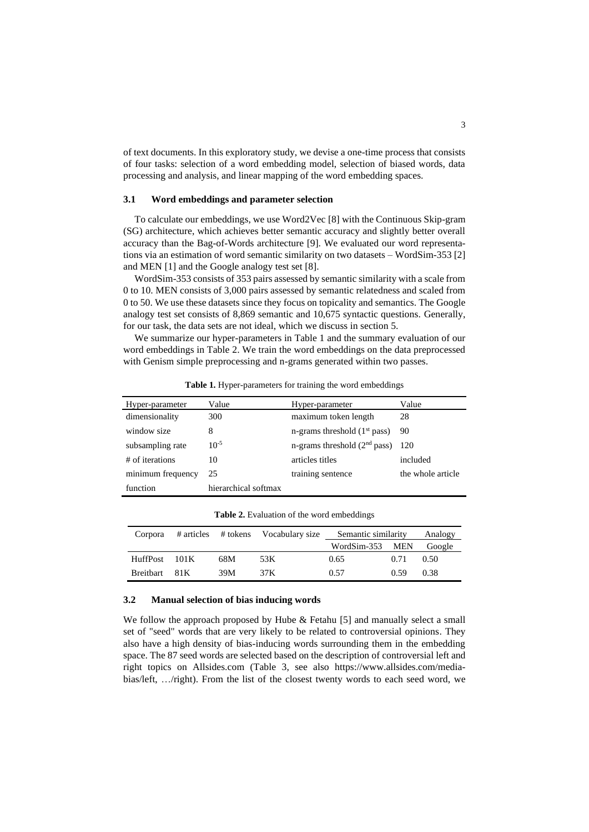of text documents. In this exploratory study, we devise a one-time process that consists of four tasks: selection of a word embedding model, selection of biased words, data processing and analysis, and linear mapping of the word embedding spaces.

### **3.1 Word embeddings and parameter selection**

To calculate our embeddings, we use Word2Vec [8] with the Continuous Skip-gram (SG) architecture, which achieves better semantic accuracy and slightly better overall accuracy than the Bag-of-Words architecture [9]. We evaluated our word representations via an estimation of word semantic similarity on two datasets – WordSim-353 [2] and MEN [1] and the Google analogy test set [8].

WordSim-353 consists of 353 pairs assessed by semantic similarity with a scale from 0 to 10. MEN consists of 3,000 pairs assessed by semantic relatedness and scaled from 0 to 50. We use these datasets since they focus on topicality and semantics. The Google analogy test set consists of 8,869 semantic and 10,675 syntactic questions. Generally, for our task, the data sets are not ideal, which we discuss in section 5.

We summarize our hyper-parameters in Table 1 and the summary evaluation of our word embeddings in Table 2. We train the word embeddings on the data preprocessed with Genism simple preprocessing and n-grams generated within two passes.

| Hyper-parameter   | Value                | Hyper-parameter                | Value             |
|-------------------|----------------------|--------------------------------|-------------------|
| dimensionality    | 300                  | maximum token length           | 28                |
| window size       | 8                    | n-grams threshold $(1st pass)$ | 90                |
| subsampling rate  | $10^{-5}$            | n-grams threshold $(2nd pass)$ | 120               |
| # of iterations   | 10                   | articles titles                | included          |
| minimum frequency | 25                   | training sentence              | the whole article |
| function          | hierarchical softmax |                                |                   |

**Table 1.** Hyper-parameters for training the word embeddings

| Corpora       |     |      | # articles # tokens Vocabulary size Semantic similarity |      | Analogy |
|---------------|-----|------|---------------------------------------------------------|------|---------|
|               |     |      | WordSim-353 MEN                                         |      | Google  |
| HuffPost 101K | 68M | 53K  | 0.65                                                    | 0.71 | 0.50    |
| Breithart 81K | 39M | 37 K | 0.57                                                    | 0.59 | 0.38    |

**Table 2.** Evaluation of the word embeddings

#### **3.2 Manual selection of bias inducing words**

We follow the approach proposed by Hube  $\&$  Fetahu [5] and manually select a small set of "seed" words that are very likely to be related to controversial opinions. They also have a high density of bias-inducing words surrounding them in the embedding space. The 87 seed words are selected based on the description of controversial left and right topics on Allsides.com (Table 3, see also [https://www.allsides.com/media](https://www.allsides.com/media-bias/left)[bias/left,](https://www.allsides.com/media-bias/left) …/right). From the list of the closest twenty words to each seed word, we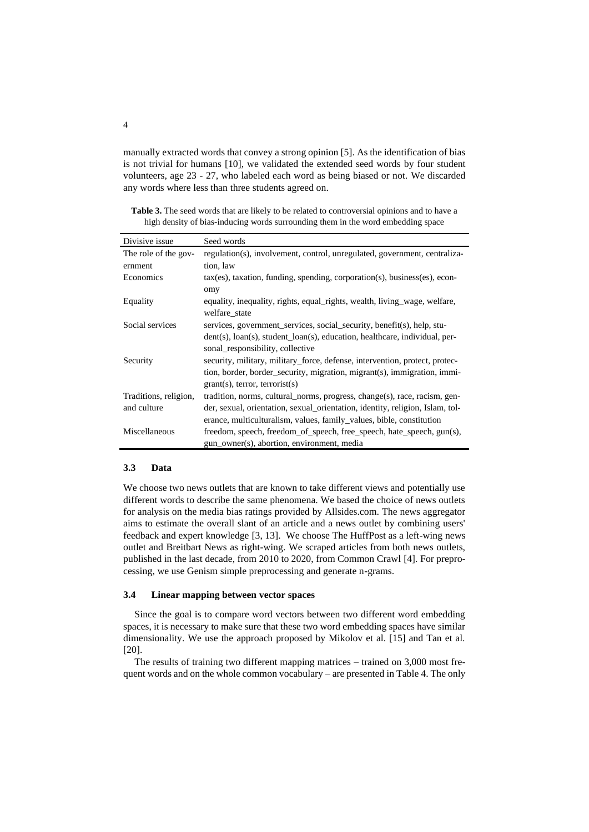manually extracted words that convey a strong opinion [5]. As the identification of bias is not trivial for humans [10], we validated the extended seed words by four student volunteers, age 23 - 27, who labeled each word as being biased or not. We discarded any words where less than three students agreed on.

Table 3. The seed words that are likely to be related to controversial opinions and to have a high density of bias-inducing words surrounding them in the word embedding space

| Divisive issue        | Seed words                                                                    |
|-----------------------|-------------------------------------------------------------------------------|
| The role of the gov-  | regulation(s), involvement, control, unregulated, government, centraliza-     |
| ernment               | tion, law                                                                     |
| Economics             | tax(es), taxation, funding, spending, corporation(s), business(es), econ-     |
|                       | omy                                                                           |
| Equality              | equality, inequality, rights, equal_rights, wealth, living_wage, welfare,     |
|                       | welfare state                                                                 |
| Social services       | services, government services, social security, benefit(s), help, stu-        |
|                       | dent(s), loan(s), student_loan(s), education, healthcare, individual, per-    |
|                       | sonal_responsibility, collective                                              |
| Security              | security, military, military_force, defense, intervention, protect, protec-   |
|                       | tion, border, border_security, migration, migrant(s), immigration, immi-      |
|                       | $grant(s)$ , terror, terrorist $(s)$                                          |
| Traditions, religion, | tradition, norms, cultural norms, progress, change(s), race, racism, gen-     |
| and culture           | der, sexual, orientation, sexual_orientation, identity, religion, Islam, tol- |
|                       | erance, multiculturalism, values, family_values, bible, constitution          |
| Miscellaneous         | freedom, speech, freedom_of_speech, free_speech, hate_speech, gun(s),         |
|                       | gun_owner(s), abortion, environment, media                                    |

#### **3.3 Data**

We choose two news outlets that are known to take different views and potentially use different words to describe the same phenomena. We based the choice of news outlets for analysis on the media bias ratings provided by Allsides.com. The news aggregator aims to estimate the overall slant of an article and a news outlet by combining users' feedback and expert knowledge [3, 13]. We choose The HuffPost as a left-wing news outlet and Breitbart News as right-wing. We scraped articles from both news outlets, published in the last decade, from 2010 to 2020, from Common Crawl [4]. For preprocessing, we use Genism simple preprocessing and generate n-grams.

#### **3.4 Linear mapping between vector spaces**

Since the goal is to compare word vectors between two different word embedding spaces, it is necessary to make sure that these two word embedding spaces have similar dimensionality. We use the approach proposed by Mikolov et al. [15] and Tan et al. [20].

The results of training two different mapping matrices – trained on 3,000 most frequent words and on the whole common vocabulary – are presented in Table 4. The only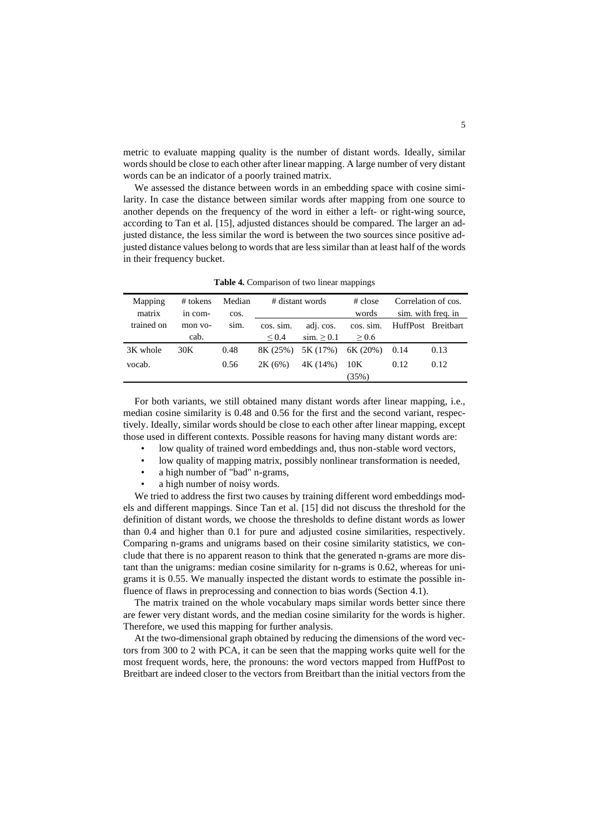metric to evaluate mapping quality is the number of distant words. Ideally, similar words should be close to each other after linear mapping. A large number of very distant words can be an indicator of a poorly trained matrix.

We assessed the distance between words in an embedding space with cosine similarity. In case the distance between similar words after mapping from one source to another depends on the frequency of the word in either a left- or right-wing source, according to Tan et al. [15], adjusted distances should be compared. The larger an adjusted distance, the less similar the word is between the two sources since positive adjusted distance values belong to words that are less similar than at least half of the words in their frequency bucket.

| Mapping    | # tokens | Median | # distant words |             | $\#$ close | Correlation of cos. |                    |
|------------|----------|--------|-----------------|-------------|------------|---------------------|--------------------|
| matrix     | in com-  | cos.   |                 |             | words      |                     | sim. with freq. in |
| trained on | mon vo-  | sim.   | cos. sim.       | adj. cos.   | cos. sim.  | HuffPost Breitbart  |                    |
|            | cab.     |        | ${}^{<}0.4$     | $\sin 20.1$ | $\geq 0.6$ |                     |                    |
| 3K whole   | 30K      | 0.48   | 8K (25%)        | 5K (17%)    | 6K(20%)    | 0.14                | 0.13               |
| vocab.     |          | 0.56   | 2K(6%)          | 4K (14%)    | 10K        | 0.12                | 0.12               |
|            |          |        |                 |             | (35%)      |                     |                    |

**Table 4.** Comparison of two linear mappings

For both variants, we still obtained many distant words after linear mapping, i.e., median cosine similarity is 0.48 and 0.56 for the first and the second variant, respectively. Ideally, similar words should be close to each other after linear mapping, except those used in different contexts. Possible reasons for having many distant words are:

- low quality of trained word embeddings and, thus non-stable word vectors,
- low quality of mapping matrix, possibly nonlinear transformation is needed,
- a high number of "bad" n-grams,
- a high number of noisy words.

We tried to address the first two causes by training different word embeddings models and different mappings. Since Tan et al. [15] did not discuss the threshold for the definition of distant words, we choose the thresholds to define distant words as lower than 0.4 and higher than 0.1 for pure and adjusted cosine similarities, respectively. Comparing n-grams and unigrams based on their cosine similarity statistics, we conclude that there is no apparent reason to think that the generated n-grams are more distant than the unigrams: median cosine similarity for n-grams is 0.62, whereas for unigrams it is 0.55. We manually inspected the distant words to estimate the possible influence of flaws in preprocessing and connection to bias words (Section 4.1).

The matrix trained on the whole vocabulary maps similar words better since there are fewer very distant words, and the median cosine similarity for the words is higher. Therefore, we used this mapping for further analysis.

At the two-dimensional graph obtained by reducing the dimensions of the word vectors from 300 to 2 with PCA, it can be seen that the mapping works quite well for the most frequent words, here, the pronouns: the word vectors mapped from HuffPost to Breitbart are indeed closer to the vectors from Breitbart than the initial vectors from the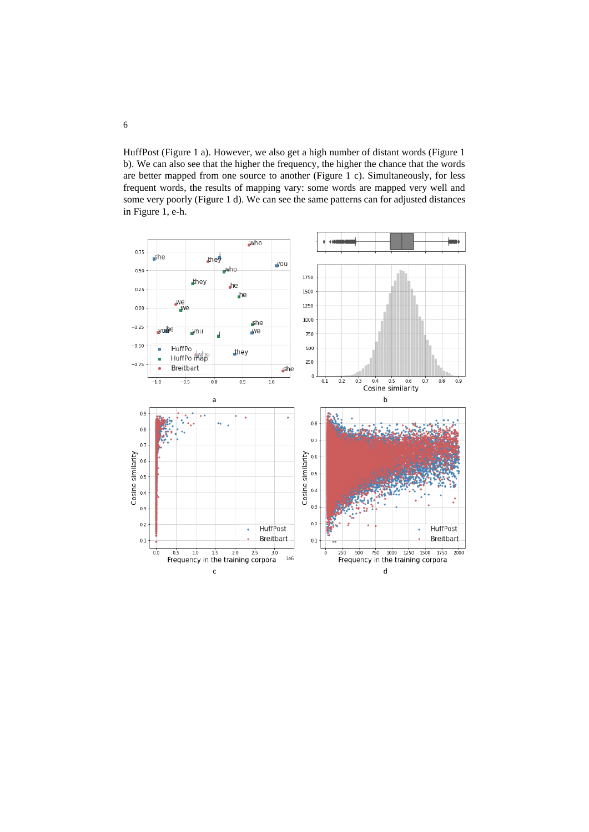HuffPost (Figure 1 a). However, we also get a high number of distant words (Figure 1 b). We can also see that the higher the frequency, the higher the chance that the words are better mapped from one source to another (Figure 1 c). Simultaneously, for less frequent words, the results of mapping vary: some words are mapped very well and some very poorly (Figure 1 d). We can see the same patterns can for adjusted distances in Figure 1, e-h.

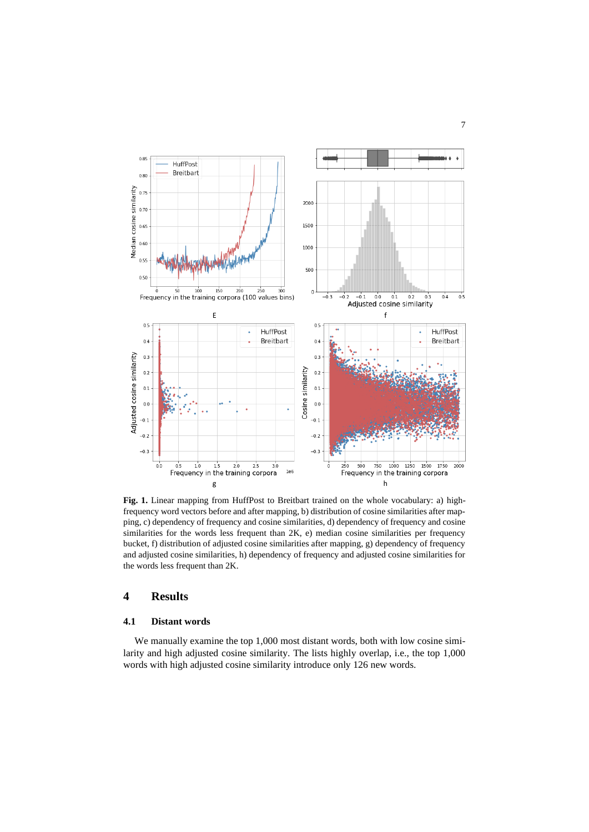

Fig. 1. Linear mapping from HuffPost to Breitbart trained on the whole vocabulary: a) highfrequency word vectors before and after mapping, b) distribution of cosine similarities after mapping, c) dependency of frequency and cosine similarities, d) dependency of frequency and cosine similarities for the words less frequent than 2K, e) median cosine similarities per frequency bucket, f) distribution of adjusted cosine similarities after mapping, g) dependency of frequency and adjusted cosine similarities, h) dependency of frequency and adjusted cosine similarities for the words less frequent than 2K.

# **4 Results**

### **4.1 Distant words**

We manually examine the top 1,000 most distant words, both with low cosine similarity and high adjusted cosine similarity. The lists highly overlap, i.e., the top 1,000 words with high adjusted cosine similarity introduce only 126 new words.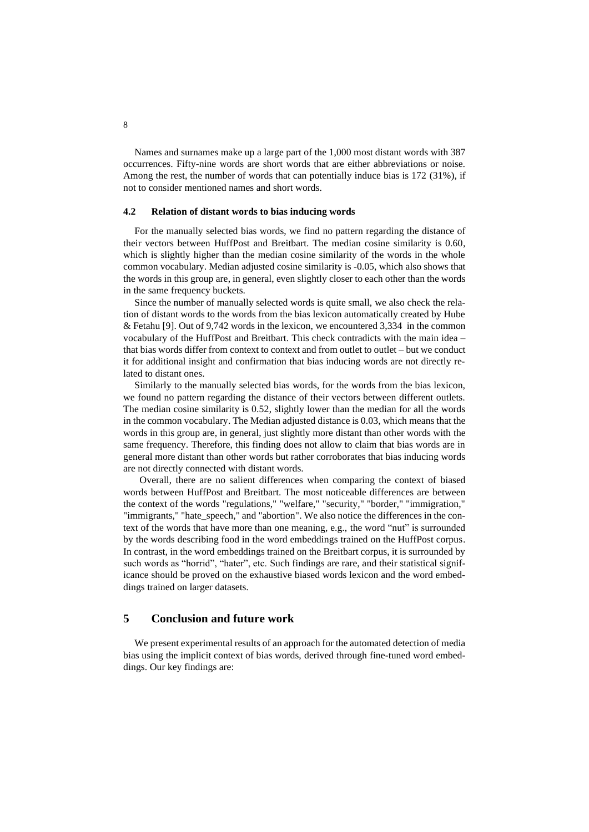Names and surnames make up a large part of the 1,000 most distant words with 387 occurrences. Fifty-nine words are short words that are either abbreviations or noise. Among the rest, the number of words that can potentially induce bias is 172 (31%), if not to consider mentioned names and short words.

#### **4.2 Relation of distant words to bias inducing words**

For the manually selected bias words, we find no pattern regarding the distance of their vectors between HuffPost and Breitbart. The median cosine similarity is 0.60, which is slightly higher than the median cosine similarity of the words in the whole common vocabulary. Median adjusted cosine similarity is -0.05, which also shows that the words in this group are, in general, even slightly closer to each other than the words in the same frequency buckets.

Since the number of manually selected words is quite small, we also check the relation of distant words to the words from the bias lexicon automatically created by Hube & Fetahu [9]. Out of 9,742 words in the lexicon, we encountered 3,334 in the common vocabulary of the HuffPost and Breitbart. This check contradicts with the main idea – that bias words differ from context to context and from outlet to outlet – but we conduct it for additional insight and confirmation that bias inducing words are not directly related to distant ones.

Similarly to the manually selected bias words, for the words from the bias lexicon, we found no pattern regarding the distance of their vectors between different outlets. The median cosine similarity is 0.52, slightly lower than the median for all the words in the common vocabulary. The Median adjusted distance is 0.03, which means that the words in this group are, in general, just slightly more distant than other words with the same frequency. Therefore, this finding does not allow to claim that bias words are in general more distant than other words but rather corroborates that bias inducing words are not directly connected with distant words.

 Overall, there are no salient differences when comparing the context of biased words between HuffPost and Breitbart. The most noticeable differences are between the context of the words "regulations," "welfare," "security," "border," "immigration," "immigrants," "hate\_speech," and "abortion". We also notice the differences in the context of the words that have more than one meaning, e.g., the word "nut" is surrounded by the words describing food in the word embeddings trained on the HuffPost corpus. In contrast, in the word embeddings trained on the Breitbart corpus, it is surrounded by such words as "horrid", "hater", etc. Such findings are rare, and their statistical significance should be proved on the exhaustive biased words lexicon and the word embeddings trained on larger datasets.

# **5 Conclusion and future work**

We present experimental results of an approach for the automated detection of media bias using the implicit context of bias words, derived through fine-tuned word embeddings. Our key findings are: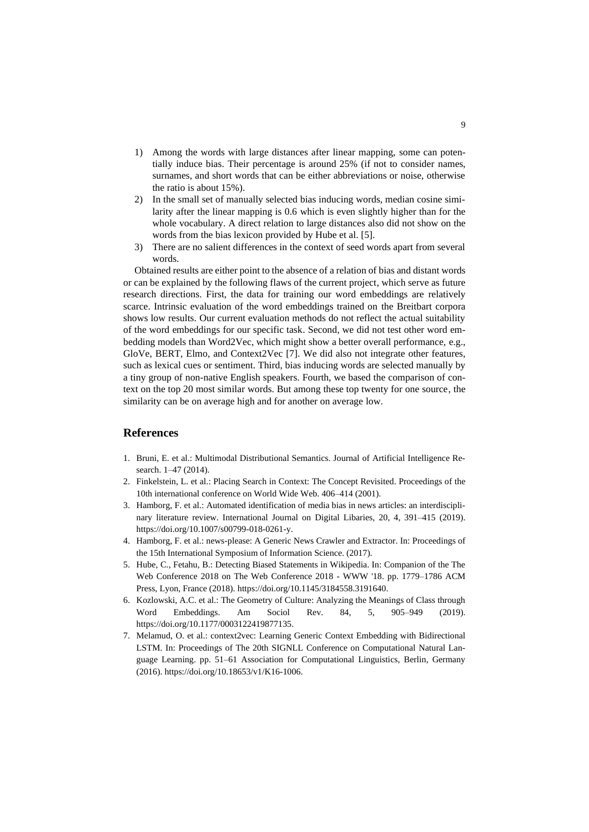- 1) Among the words with large distances after linear mapping, some can potentially induce bias. Their percentage is around 25% (if not to consider names, surnames, and short words that can be either abbreviations or noise, otherwise the ratio is about 15%).
- 2) In the small set of manually selected bias inducing words, median cosine similarity after the linear mapping is 0.6 which is even slightly higher than for the whole vocabulary. A direct relation to large distances also did not show on the words from the bias lexicon provided by Hube et al. [5].
- 3) There are no salient differences in the context of seed words apart from several words.

Obtained results are either point to the absence of a relation of bias and distant words or can be explained by the following flaws of the current project, which serve as future research directions. First, the data for training our word embeddings are relatively scarce. Intrinsic evaluation of the word embeddings trained on the Breitbart corpora shows low results. Our current evaluation methods do not reflect the actual suitability of the word embeddings for our specific task. Second, we did not test other word embedding models than Word2Vec, which might show a better overall performance, e.g., GloVe, BERT, Elmo, and Context2Vec [7]. We did also not integrate other features, such as lexical cues or sentiment. Third, bias inducing words are selected manually by a tiny group of non-native English speakers. Fourth, we based the comparison of context on the top 20 most similar words. But among these top twenty for one source, the similarity can be on average high and for another on average low.

# **References**

- 1. Bruni, E. et al.: Multimodal Distributional Semantics. Journal of Artificial Intelligence Research. 1–47 (2014).
- 2. Finkelstein, L. et al.: Placing Search in Context: The Concept Revisited. Proceedings of the 10th international conference on World Wide Web. 406–414 (2001).
- 3. Hamborg, F. et al.: Automated identification of media bias in news articles: an interdisciplinary literature review. International Journal on Digital Libaries, 20, 4, 391–415 (2019). https://doi.org/10.1007/s00799-018-0261-y.
- 4. Hamborg, F. et al.: news-please: A Generic News Crawler and Extractor. In: Proceedings of the 15th International Symposium of Information Science. (2017).
- 5. Hube, C., Fetahu, B.: Detecting Biased Statements in Wikipedia. In: Companion of the The Web Conference 2018 on The Web Conference 2018 - WWW '18. pp. 1779–1786 ACM Press, Lyon, France (2018). https://doi.org/10.1145/3184558.3191640.
- 6. Kozlowski, A.C. et al.: The Geometry of Culture: Analyzing the Meanings of Class through Word Embeddings. Am Sociol Rev. 84, 5, 905–949 (2019). https://doi.org/10.1177/0003122419877135.
- 7. Melamud, O. et al.: context2vec: Learning Generic Context Embedding with Bidirectional LSTM. In: Proceedings of The 20th SIGNLL Conference on Computational Natural Language Learning. pp. 51–61 Association for Computational Linguistics, Berlin, Germany (2016). https://doi.org/10.18653/v1/K16-1006.